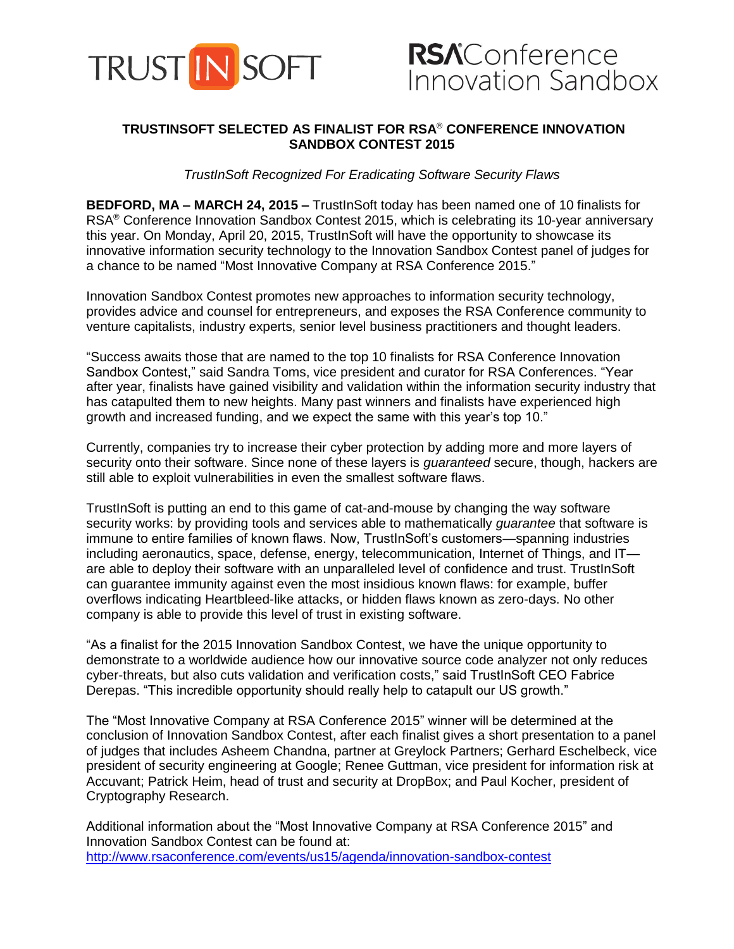

## **TRUSTINSOFT SELECTED AS FINALIST FOR RSA**® **CONFERENCE INNOVATION SANDBOX CONTEST 2015**

*TrustInSoft Recognized For Eradicating Software Security Flaws*

**BEDFORD, MA – MARCH 24, 2015 –** TrustInSoft today has been named one of 10 finalists for RSA® Conference Innovation Sandbox Contest 2015, which is celebrating its 10-year anniversary this year. On Monday, April 20, 2015, TrustInSoft will have the opportunity to showcase its innovative information security technology to the Innovation Sandbox Contest panel of judges for a chance to be named "Most Innovative Company at RSA Conference 2015."

Innovation Sandbox Contest promotes new approaches to information security technology, provides advice and counsel for entrepreneurs, and exposes the RSA Conference community to venture capitalists, industry experts, senior level business practitioners and thought leaders.

"Success awaits those that are named to the top 10 finalists for RSA Conference Innovation Sandbox Contest," said Sandra Toms, vice president and curator for RSA Conferences. "Year after year, finalists have gained visibility and validation within the information security industry that has catapulted them to new heights. Many past winners and finalists have experienced high growth and increased funding, and we expect the same with this year's top 10."

Currently, companies try to increase their cyber protection by adding more and more layers of security onto their software. Since none of these layers is *guaranteed* secure, though, hackers are still able to exploit vulnerabilities in even the smallest software flaws.

TrustInSoft is putting an end to this game of cat-and-mouse by changing the way software security works: by providing tools and services able to mathematically *guarantee* that software is immune to entire families of known flaws. Now, TrustInSoft's customers—spanning industries including aeronautics, space, defense, energy, telecommunication, Internet of Things, and IT are able to deploy their software with an unparalleled level of confidence and trust. TrustInSoft can guarantee immunity against even the most insidious known flaws: for example, buffer overflows indicating Heartbleed-like attacks, or hidden flaws known as zero-days. No other company is able to provide this level of trust in existing software.

"As a finalist for the 2015 Innovation Sandbox Contest, we have the unique opportunity to demonstrate to a worldwide audience how our innovative source code analyzer not only reduces cyber-threats, but also cuts validation and verification costs," said TrustInSoft CEO Fabrice Derepas. "This incredible opportunity should really help to catapult our US growth."

The "Most Innovative Company at RSA Conference 2015" winner will be determined at the conclusion of Innovation Sandbox Contest, after each finalist gives a short presentation to a panel of judges that includes Asheem Chandna, partner at Greylock Partners; Gerhard Eschelbeck, vice president of security engineering at Google; Renee Guttman, vice president for information risk at Accuvant; Patrick Heim, head of trust and security at DropBox; and Paul Kocher, president of Cryptography Research.

Additional information about the "Most Innovative Company at RSA Conference 2015" and Innovation Sandbox Contest can be found at: <http://www.rsaconference.com/events/us15/agenda/innovation-sandbox-contest>